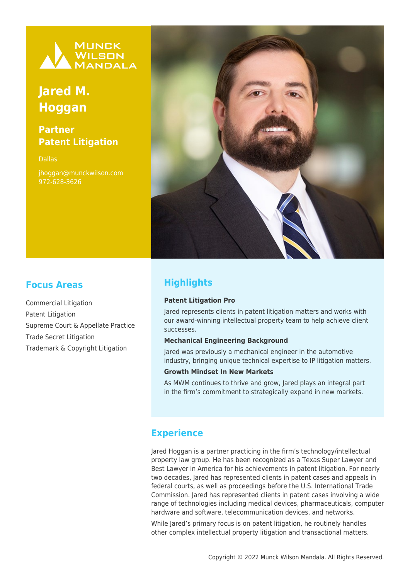

# **Jared M. Hoggan**

# **Partner Patent Litigation**

Dallas jhoggan@munckwilson.com 972-628-3626



# **Focus Areas**

Commercial Litigation Patent Litigation Supreme Court & Appellate Practice Trade Secret Litigation Trademark & Copyright Litigation

# **Highlights**

#### **Patent Litigation Pro**

Jared represents clients in patent litigation matters and works with our award-winning intellectual property team to help achieve client successes.

#### **Mechanical Engineering Background**

Jared was previously a mechanical engineer in the automotive industry, bringing unique technical expertise to IP litigation matters.

#### **Growth Mindset In New Markets**

As MWM continues to thrive and grow, Jared plays an integral part in the firm's commitment to strategically expand in new markets.

### **Experience**

Jared Hoggan is a partner practicing in the firm's technology/intellectual property law group. He has been recognized as a Texas Super Lawyer and Best Lawyer in America for his achievements in patent litigation. For nearly two decades, Jared has represented clients in patent cases and appeals in federal courts, as well as proceedings before the U.S. International Trade Commission. Jared has represented clients in patent cases involving a wide range of technologies including medical devices, pharmaceuticals, computer hardware and software, telecommunication devices, and networks.

While Jared's primary focus is on patent litigation, he routinely handles other complex intellectual property litigation and transactional matters.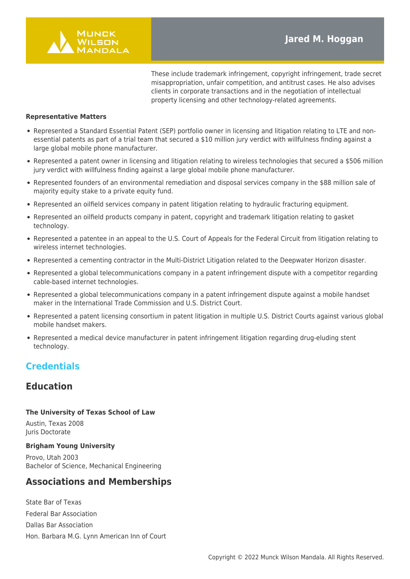

These include trademark infringement, copyright infringement, trade secret misappropriation, unfair competition, and antitrust cases. He also advises clients in corporate transactions and in the negotiation of intellectual property licensing and other technology-related agreements.

#### **Representative Matters**

- Represented a Standard Essential Patent (SEP) portfolio owner in licensing and litigation relating to LTE and nonessential patents as part of a trial team that secured a \$10 million jury verdict with willfulness finding against a large global mobile phone manufacturer.
- Represented a patent owner in licensing and litigation relating to wireless technologies that secured a \$506 million jury verdict with willfulness finding against a large global mobile phone manufacturer.
- Represented founders of an environmental remediation and disposal services company in the \$88 million sale of majority equity stake to a private equity fund.
- Represented an oilfield services company in patent litigation relating to hydraulic fracturing equipment.
- Represented an oilfield products company in patent, copyright and trademark litigation relating to gasket technology.
- Represented a patentee in an appeal to the U.S. Court of Appeals for the Federal Circuit from litigation relating to wireless internet technologies.
- Represented a cementing contractor in the Multi-District Litigation related to the Deepwater Horizon disaster.
- Represented a global telecommunications company in a patent infringement dispute with a competitor regarding cable-based internet technologies.
- Represented a global telecommunications company in a patent infringement dispute against a mobile handset maker in the International Trade Commission and U.S. District Court.
- Represented a patent licensing consortium in patent litigation in multiple U.S. District Courts against various global mobile handset makers.
- Represented a medical device manufacturer in patent infringement litigation regarding drug-eluding stent technology.

### **Credentials**

### **Education**

#### **The University of Texas School of Law**

Austin, Texas 2008 Juris Doctorate

#### **Brigham Young University**

Provo, Utah 2003 Bachelor of Science, Mechanical Engineering

### **Associations and Memberships**

State Bar of Texas Federal Bar Association Dallas Bar Association Hon. Barbara M.G. Lynn American Inn of Court